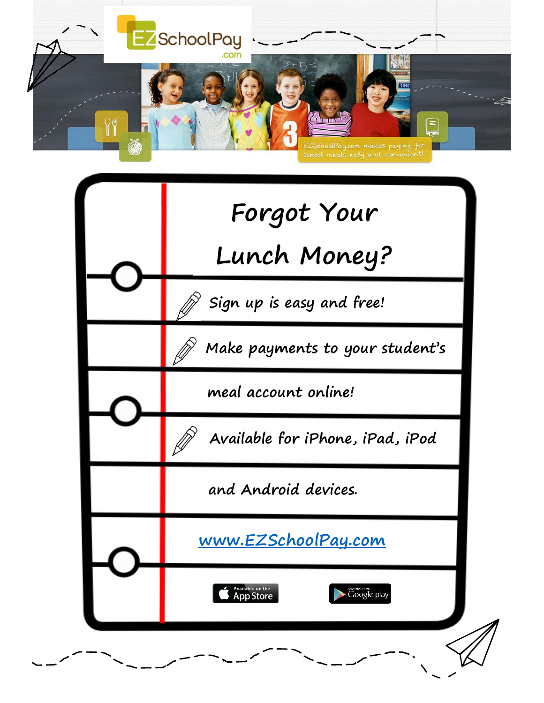